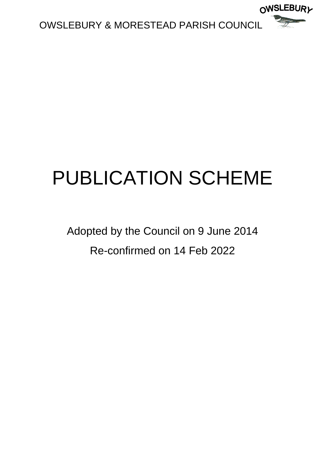

# PUBLICATION SCHEME

Adopted by the Council on 9 June 2014 Re-confirmed on 14 Feb 2022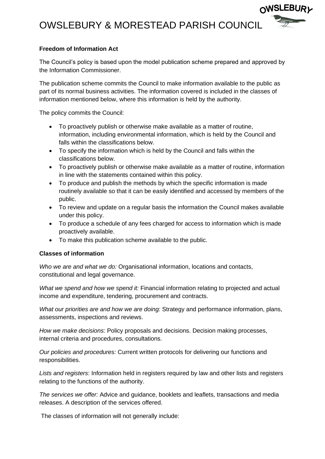

∩WSLEBUR*v* 

### **Freedom of Information Act**

The Council's policy is based upon the model publication scheme prepared and approved by the Information Commissioner.

The publication scheme commits the Council to make information available to the public as part of its normal business activities. The information covered is included in the classes of information mentioned below, where this information is held by the authority.

The policy commits the Council:

- To proactively publish or otherwise make available as a matter of routine, information, including environmental information, which is held by the Council and falls within the classifications below.
- To specify the information which is held by the Council and falls within the classifications below.
- To proactively publish or otherwise make available as a matter of routine, information in line with the statements contained within this policy.
- To produce and publish the methods by which the specific information is made routinely available so that it can be easily identified and accessed by members of the public.
- To review and update on a regular basis the information the Council makes available under this policy.
- To produce a schedule of any fees charged for access to information which is made proactively available.
- To make this publication scheme available to the public.

### **Classes of information**

*Who we are and what we do:* Organisational information, locations and contacts, constitutional and legal governance.

*What we spend and how we spend it:* Financial information relating to projected and actual income and expenditure, tendering, procurement and contracts.

*What our priorities are and how we are doing:* Strategy and performance information, plans, assessments, inspections and reviews.

*How we make decisions*: Policy proposals and decisions. Decision making processes, internal criteria and procedures, consultations.

*Our policies and procedures:* Current written protocols for delivering our functions and responsibilities.

*Lists and registers*: Information held in registers required by law and other lists and registers relating to the functions of the authority.

*The services we offer:* Advice and guidance, booklets and leaflets, transactions and media releases. A description of the services offered.

The classes of information will not generally include: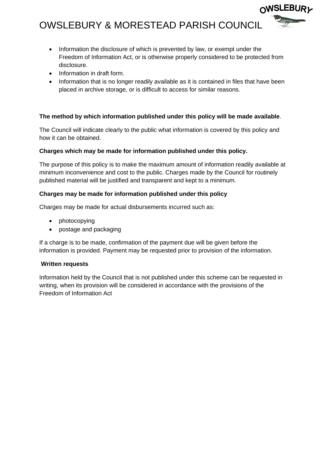• Information the disclosure of which is prevented by law, or exempt under the Freedom of Information Act, or is otherwise properly considered to be protected from disclosure.

∩WSLEBUR*v* 

- Information in draft form.
- Information that is no longer readily available as it is contained in files that have been placed in archive storage, or is difficult to access for similar reasons.

#### **The method by which information published under this policy will be made available**.

The Council will indicate clearly to the public what information is covered by this policy and how it can be obtained.

#### **Charges which may be made for information published under this policy.**

The purpose of this policy is to make the maximum amount of information readily available at minimum inconvenience and cost to the public. Charges made by the Council for routinely published material will be justified and transparent and kept to a minimum.

#### **Charges may be made for information published under this policy**

Charges may be made for actual disbursements incurred such as:

- photocopying
- postage and packaging

If a charge is to be made, confirmation of the payment due will be given before the information is provided. Payment may be requested prior to provision of the information.

#### **Written requests**

Information held by the Council that is not published under this scheme can be requested in writing, when its provision will be considered in accordance with the provisions of the Freedom of Information Act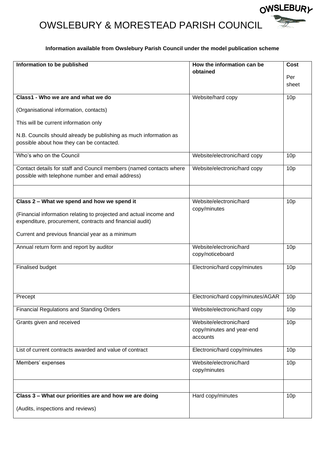#### **Information available from Owslebury Parish Council under the model publication scheme**

OWSLEBURY

| <b>Information to be published</b>                                                                                             | How the information can be<br>obtained                           | <b>Cost</b>     |
|--------------------------------------------------------------------------------------------------------------------------------|------------------------------------------------------------------|-----------------|
|                                                                                                                                |                                                                  | Per<br>sheet    |
| Class1 - Who we are and what we do                                                                                             | Website/hard copy                                                | 10 <sub>p</sub> |
| (Organisational information, contacts)                                                                                         |                                                                  |                 |
| This will be current information only                                                                                          |                                                                  |                 |
| N.B. Councils should already be publishing as much information as<br>possible about how they can be contacted.                 |                                                                  |                 |
| Who's who on the Council                                                                                                       | Website/electronic/hard copy                                     | 10 <sub>p</sub> |
| Contact details for staff and Council members (named contacts where<br>possible with telephone number and email address)       | Website/electronic/hard copy                                     | 10 <sub>p</sub> |
| Class 2 - What we spend and how we spend it                                                                                    | Website/electronic/hard                                          | 10 <sub>p</sub> |
| (Financial information relating to projected and actual income and<br>expenditure, procurement, contracts and financial audit) | copy/minutes                                                     |                 |
| Current and previous financial year as a minimum                                                                               |                                                                  |                 |
| Annual return form and report by auditor                                                                                       | Website/electronic/hard<br>copy/noticeboard                      | 10 <sub>p</sub> |
| <b>Finalised budget</b>                                                                                                        | Electronic/hard copy/minutes                                     | 10 <sub>p</sub> |
| Precept                                                                                                                        | Electronic/hard copy/minutes/AGAR                                | 10 <sub>p</sub> |
| <b>Financial Regulations and Standing Orders</b>                                                                               | Website/electronic/hard copy                                     | 10 <sub>p</sub> |
| Grants given and received                                                                                                      | Website/electronic/hard<br>copy/minutes and year-end<br>accounts | 10 <sub>p</sub> |
| List of current contracts awarded and value of contract                                                                        | Electronic/hard copy/minutes                                     | 10 <sub>p</sub> |
| Members' expenses                                                                                                              | Website/electronic/hard<br>copy/minutes                          | 10 <sub>p</sub> |
| Class 3 - What our priorities are and how we are doing                                                                         | Hard copy/minutes                                                | 10 <sub>p</sub> |
| (Audits, inspections and reviews)                                                                                              |                                                                  |                 |
|                                                                                                                                |                                                                  |                 |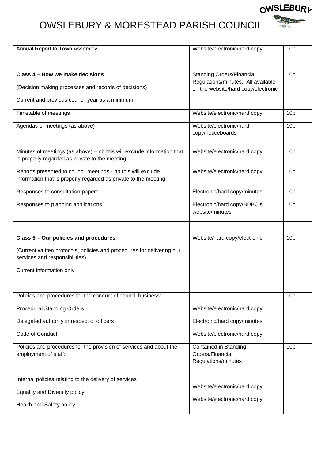**OWSLEBURY** 

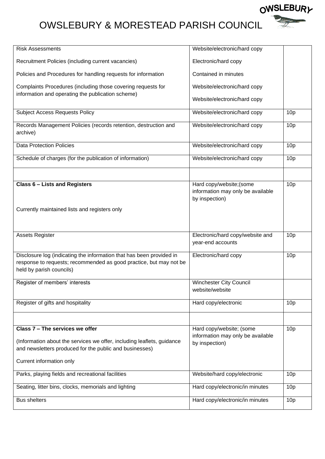**OWSLEBURY**